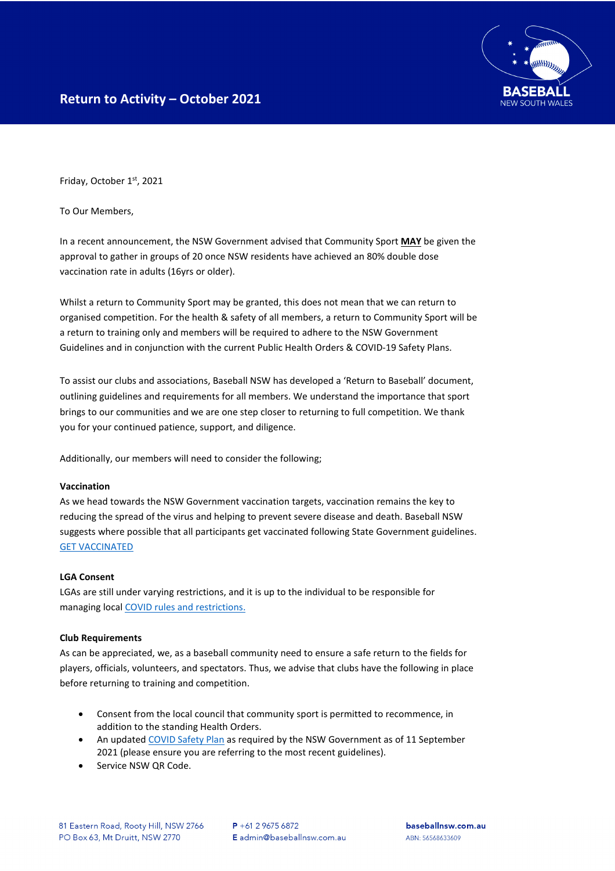Friday, October 1st, 2021

To Our Members,

In a recent announcement, the NSW Government advised that Community Sport **MAY** be given the approval to gather in groups of 20 once NSW residents have achieved an 80% double dose vaccination rate in adults (16yrs or older).

Whilst a return to Community Sport may be granted, this does not mean that we can return to organised competition. For the health & safety of all members, a return to Community Sport will be a return to training only and members will be required to adhere to the NSW Government Guidelines and in conjunction with the current Public Health Orders & COVID-19 Safety Plans.

To assist our clubs and associations, Baseball NSW has developed a 'Return to Baseball' document, outlining guidelines and requirements for all members. We understand the importance that sport brings to our communities and we are one step closer to returning to full competition. We thank you for your continued patience, support, and diligence.

Additionally, our members will need to consider the following;

## **Vaccination**

As we head towards the NSW Government vaccination targets, vaccination remains the key to reducing the spread of the virus and helping to prevent severe disease and death. Baseball NSW suggests where possible that all participants get vaccinated following State Government guidelines. [GET VACCINATED](https://www.nsw.gov.au/covid-19/health-and-wellbeing/covid-19-vaccination-nsw/get-your-covid-19-vaccination-nsw)

## **LGA Consent**

LGAs are still under varying restrictions, and it is up to the individual to be responsible for managing local [COVID rules and restrictions.](https://www.nsw.gov.au/covid-19/rules)

## **Club Requirements**

As can be appreciated, we, as a baseball community need to ensure a safe return to the fields for players, officials, volunteers, and spectators. Thus, we advise that clubs have the following in place before returning to training and competition.

- Consent from the local council that community sport is permitted to recommence, in addition to the standing Health Orders.
- An update[d COVID Safety Plan](https://www.nsw.gov.au/form-master-page/covid-safety-plan/outdoor-events-covid-19-safety-plan) as required by the NSW Government as of 11 September 2021 (please ensure you are referring to the most recent guidelines).
- Service NSW QR Code.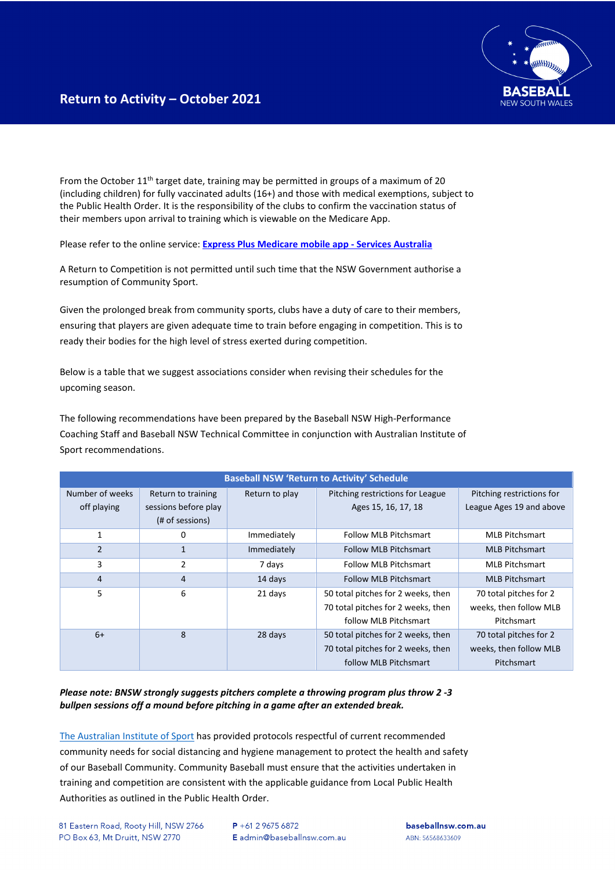From the October 11<sup>th</sup> target date, training may be permitted in groups of a maximum of 20 (including children) for fully vaccinated adults (16+) and those with medical exemptions, subject to the Public Health Order. It is the responsibility of the clubs to confirm the vaccination status of their members upon arrival to training which is viewable on the Medicare App.

Please refer to the online service: **[Express Plus Medicare mobile app -](https://www.servicesaustralia.gov.au/individuals/services/medicare/express-plus-medicare-mobile-app) Services Australia**

A Return to Competition is not permitted until such time that the NSW Government authorise a resumption of Community Sport.

Given the prolonged break from community sports, clubs have a duty of care to their members, ensuring that players are given adequate time to train before engaging in competition. This is to ready their bodies for the high level of stress exerted during competition.

Below is a table that we suggest associations consider when revising their schedules for the upcoming season.

The following recommendations have been prepared by the Baseball NSW High-Performance Coaching Staff and Baseball NSW Technical Committee in conjunction with Australian Institute of Sport recommendations.

| <b>Baseball NSW 'Return to Activity' Schedule</b> |                                         |                |                                                                                                   |                                                                |  |  |
|---------------------------------------------------|-----------------------------------------|----------------|---------------------------------------------------------------------------------------------------|----------------------------------------------------------------|--|--|
| Number of weeks                                   | Return to training                      | Return to play | Pitching restrictions for League                                                                  | Pitching restrictions for                                      |  |  |
| off playing                                       | sessions before play<br>(# of sessions) |                | Ages 15, 16, 17, 18                                                                               | League Ages 19 and above                                       |  |  |
| 1                                                 | 0                                       | Immediately    | <b>Follow MLB Pitchsmart</b>                                                                      | <b>MLB Pitchsmart</b>                                          |  |  |
| $\overline{2}$                                    | 1                                       | Immediately    | <b>Follow MLB Pitchsmart</b>                                                                      | <b>MLB Pitchsmart</b>                                          |  |  |
| 3                                                 | 2                                       | 7 days         | <b>Follow MLB Pitchsmart</b>                                                                      | <b>MLB Pitchsmart</b>                                          |  |  |
| 4                                                 | 4                                       | 14 days        | <b>Follow MLB Pitchsmart</b>                                                                      | <b>MLB Pitchsmart</b>                                          |  |  |
| 5                                                 | 6                                       | 21 days        | 50 total pitches for 2 weeks, then<br>70 total pitches for 2 weeks, then<br>follow MLB Pitchsmart | 70 total pitches for 2<br>weeks, then follow MLB<br>Pitchsmart |  |  |
| $6+$                                              | 8                                       | 28 days        | 50 total pitches for 2 weeks, then<br>70 total pitches for 2 weeks, then<br>follow MLB Pitchsmart | 70 total pitches for 2<br>weeks, then follow MLB<br>Pitchsmart |  |  |

*Please note: BNSW strongly suggests pitchers complete a throwing program plus throw 2 -3 bullpen sessions off a mound before pitching in a game after an extended break.* 

[The Australian Institute of Sport](https://www.ais.gov.au/__data/assets/pdf_file/0006/730374/35845_AIS-Framework-for-Rebooting-Sport-Summary.pdf) has provided protocols respectful of current recommended community needs for social distancing and hygiene management to protect the health and safety of our Baseball Community. Community Baseball must ensure that the activities undertaken in training and competition are consistent with the applicable guidance from Local Public Health Authorities as outlined in the Public Health Order.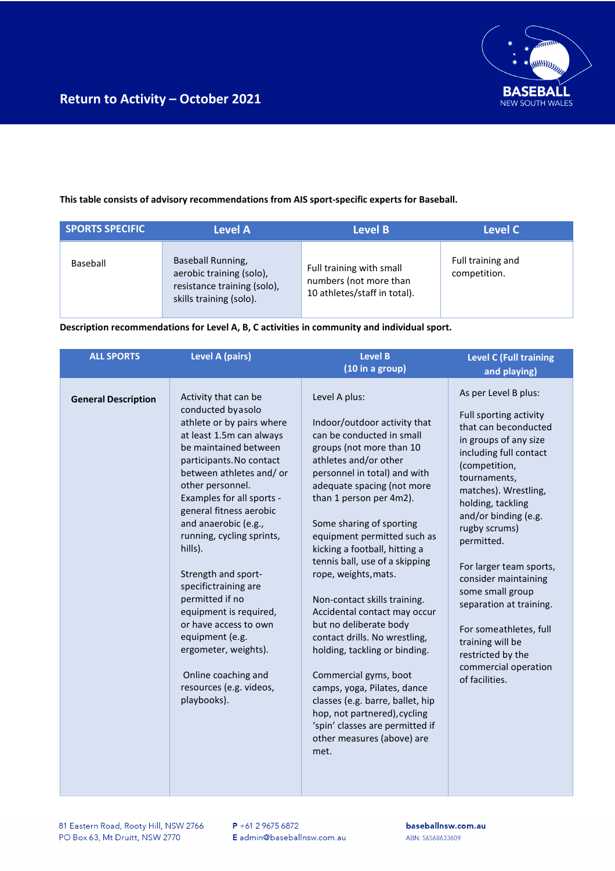

## **This table consists of advisory recommendations from AIS sport-specific experts for Baseball.**

| <b>SPORTS SPECIFIC</b> | <b>Level A</b>                                                                                          | Level B                                                                            | Level C                           |
|------------------------|---------------------------------------------------------------------------------------------------------|------------------------------------------------------------------------------------|-----------------------------------|
| Baseball               | Baseball Running,<br>aerobic training (solo),<br>resistance training (solo),<br>skills training (solo). | Full training with small<br>numbers (not more than<br>10 athletes/staff in total). | Full training and<br>competition. |

**Description recommendations for Level A, B, C activities in community and individual sport.**

| <b>ALL SPORTS</b>          | <b>Level A (pairs)</b>                                                                                                                                                                                                                                                                                                                                                                                                                                                                                                                                           | <b>Level B</b><br>(10 in a group)                                                                                                                                                                                                                                                                                                                                                                                                                                                                                                                                                                                                                                                                                                               | <b>Level C (Full training</b><br>and playing)                                                                                                                                                                                                                                                                                                                                                                                                                                 |
|----------------------------|------------------------------------------------------------------------------------------------------------------------------------------------------------------------------------------------------------------------------------------------------------------------------------------------------------------------------------------------------------------------------------------------------------------------------------------------------------------------------------------------------------------------------------------------------------------|-------------------------------------------------------------------------------------------------------------------------------------------------------------------------------------------------------------------------------------------------------------------------------------------------------------------------------------------------------------------------------------------------------------------------------------------------------------------------------------------------------------------------------------------------------------------------------------------------------------------------------------------------------------------------------------------------------------------------------------------------|-------------------------------------------------------------------------------------------------------------------------------------------------------------------------------------------------------------------------------------------------------------------------------------------------------------------------------------------------------------------------------------------------------------------------------------------------------------------------------|
| <b>General Description</b> | Activity that can be<br>conducted byasolo<br>athlete or by pairs where<br>at least 1.5m can always<br>be maintained between<br>participants. No contact<br>between athletes and/ or<br>other personnel.<br>Examples for all sports -<br>general fitness aerobic<br>and anaerobic (e.g.,<br>running, cycling sprints,<br>hills).<br>Strength and sport-<br>specifictraining are<br>permitted if no<br>equipment is required,<br>or have access to own<br>equipment (e.g.<br>ergometer, weights).<br>Online coaching and<br>resources (e.g. videos,<br>playbooks). | Level A plus:<br>Indoor/outdoor activity that<br>can be conducted in small<br>groups (not more than 10<br>athletes and/or other<br>personnel in total) and with<br>adequate spacing (not more<br>than 1 person per 4m2).<br>Some sharing of sporting<br>equipment permitted such as<br>kicking a football, hitting a<br>tennis ball, use of a skipping<br>rope, weights, mats.<br>Non-contact skills training.<br>Accidental contact may occur<br>but no deliberate body<br>contact drills. No wrestling,<br>holding, tackling or binding.<br>Commercial gyms, boot<br>camps, yoga, Pilates, dance<br>classes (e.g. barre, ballet, hip<br>hop, not partnered), cycling<br>'spin' classes are permitted if<br>other measures (above) are<br>met. | As per Level B plus:<br>Full sporting activity<br>that can beconducted<br>in groups of any size<br>including full contact<br>(competition,<br>tournaments,<br>matches). Wrestling,<br>holding, tackling<br>and/or binding (e.g.<br>rugby scrums)<br>permitted.<br>For larger team sports,<br>consider maintaining<br>some small group<br>separation at training.<br>For someathletes, full<br>training will be<br>restricted by the<br>commercial operation<br>of facilities. |

81 Eastern Road, Rooty Hill, NSW 2766 PO Box 63, Mt Druitt, NSW 2770

baseballnsw.com.au ABN: 56568633609